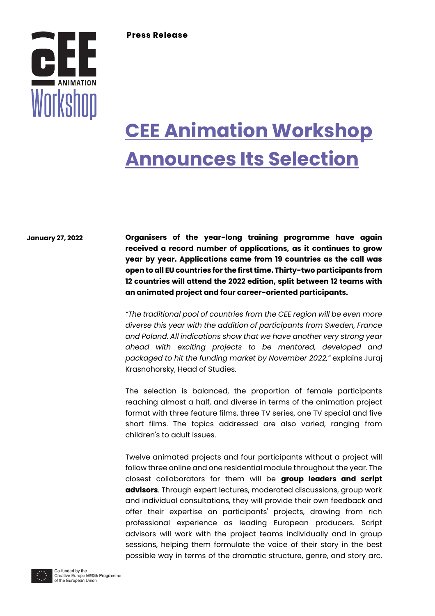

# **CEE Animation Workshop Announces Its Selection**

**January 27, 2022**

**Organisers of the year-long training programme have again received a record number of applications, as it continues to grow year by year. Applications came from 19 countries as the call was open to all EU countries for the first time. Thirty-two participants from 12 countries will attend the 2022 edition, split between 12 teams with an animated project and four career-oriented participants.**

*"The traditional pool of countries from the CEE region will be even more diverse this year with the addition of participants from Sweden, France and Poland. All indications show that we have another very strong year ahead with exciting projects to be mentored, developed and packaged to hit the funding market by November 2022,"* explains Juraj Krasnohorsky, Head of Studies.

The selection is balanced, the proportion of female participants reaching almost a half, and diverse in terms of the animation project format with three feature films, three TV series, one TV special and five short films. The topics addressed are also varied, ranging from children's to adult issues.

Twelve animated projects and four participants without a project will follow three online and one residential module throughout the year. The closest collaborators for them will be **group leaders and script advisors**. Through expert lectures, moderated discussions, group work and individual consultations, they will provide their own feedback and offer their expertise on participants' projects, drawing from rich professional experience as leading European producers. Script advisors will work with the project teams individually and in group sessions, helping them formulate the voice of their story in the best possible way in terms of the dramatic structure, genre, and story arc.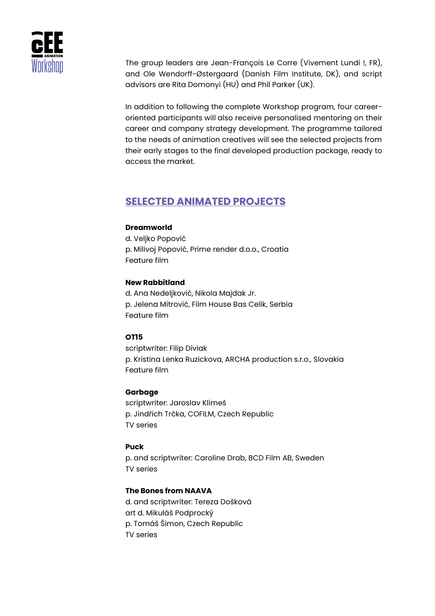

The group leaders are Jean-François Le Corre (Vivement Lundi !, FR), and Ole Wendorff-Østergaard (Danish Film Institute, DK), and script advisors are Rita Domonyi (HU) and Phil Parker (UK).

In addition to following the complete Workshop program, four careeroriented participants will also receive personalised mentoring on their career and company strategy development. The programme tailored to the needs of animation creatives will see the selected projects from their early stages to the final developed production package, ready to access the market.

# **SELECTED ANIMATED PROJECTS**

#### **Dreamworld**

d. Veljko Popović p. Milivoj Popović, Prime render d.o.o., Croatia Feature film

#### **New Rabbitland**

d. Ana Nedeljković, Nikola Majdak Jr. p. Jelena Mitrović, Film House Bas Celik, Serbia Feature film

#### **OT15**

scriptwriter: Filip Diviak p. Kristina Lenka Ruzickova, ARCHA production s.r.o., Slovakia Feature film

#### **Garbage**

scriptwriter: Jaroslav Klimeš p. Jindřich Trčka, COFILM, Czech Republic TV series

#### **Puck**

p. and scriptwriter: Caroline Drab, BCD Film AB, Sweden TV series

#### **The Bones from NAAVA**

d. and scriptwriter: Tereza Došková art d. Mikuláš Podprocký p. Tomáš Šimon, Czech Republic TV series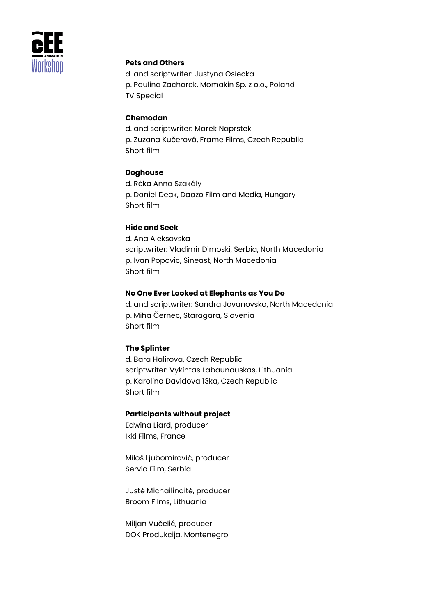

### **Pets and Others**

d. and scriptwriter: Justyna Osiecka p. Paulina Zacharek, Momakin Sp. z o.o., Poland TV Special

## **Chemodan**

d. and scriptwriter: Marek Naprstek p. Zuzana Kučerová, Frame Films, Czech Republic Short film

#### **Doghouse**

d. Réka Anna Szakály p. Daniel Deak, Daazo Film and Media, Hungary Short film

#### **Hide and Seek**

d. Ana Aleksovska scriptwriter: Vladimir Dimoski, Serbia, North Macedonia p. Ivan Popovic, Sineast, North Macedonia Short film

#### **No One Ever Looked at Elephants as You Do**

d. and scriptwriter: Sandra Jovanovska, North Macedonia p. Miha Černec, Staragara, Slovenia Short film

#### **The Splinter**

d. Bara Halirova, Czech Republic scriptwriter: Vykintas Labaunauskas, Lithuania p. Karolina Davidova 13ka, Czech Republic Short film

#### **Participants without project**

Edwina Liard, producer Ikki Films, France

Miloš Ljubomirović, producer Servia Film, Serbia

Justė Michailinaitė, producer Broom Films, Lithuania

Miljan Vučelić, producer DOK Produkcija, Montenegro